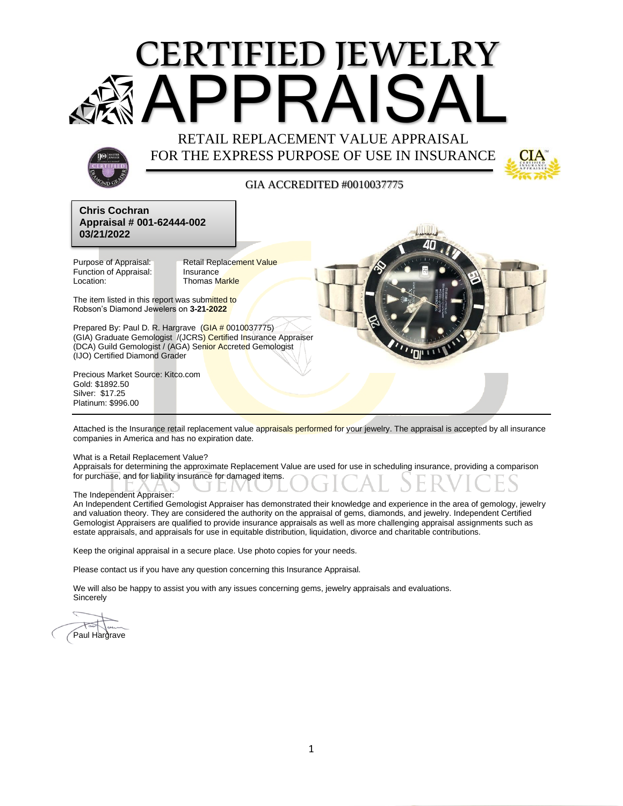# APPRAISAL RETAIL REPLACEMENT VALUE APPRAISAL CERTIFIED JEWELRY

FOR THE EXPRESS PURPOSE OF USE IN INSURANCE



#### GIA ACCREDITED #0010037775 SCHEDULING

**Al<sub>(Ap o</sub>v)<br>Chris Cochran<br>Appraisal # 001-62444-002 Chris Cochran 03/21/2022**

Function of Appraisal: Insurance Location: Thomas Markle

Purpose of Appraisal: Retail Replacement Value

The item listed in this report was submitted to Robson's Diamond Jewelers on **3-21-2022**

Prepared By: Paul D. R. Hargrave (GIA # 0010037775) (GIA) Graduate Gemologist /(JCRS) Certified Insurance Appraiser (DCA) Guild Gemologist / (AGA) Senior Accreted Gemologist (IJO) Certified Diamond Grader

Precious Market Source: Kitco.com Gold: \$1892.50 Silver: \$17.25 Platinum: \$996.00

Attached is the Insurance retail replacement value appraisals performed for your jewelry. The appraisal is accepted by all insurance companies in America and has no expiration date.

What is a Retail Replacement Value?

Appraisals for determining the approximate Replacement Value are used for use in scheduling insurance, providing a comparison for purchase, and for liability insurance for damaged items.

The Independent Appraiser:

An Independent Certified Gemologist Appraiser has demonstrated their knowledge and experience in the area of gemology, jewelry and valuation theory. They are considered the authority on the appraisal of gems, diamonds, and jewelry. Independent Certified Gemologist Appraisers are qualified to provide insurance appraisals as well as more challenging appraisal [assignments](http://advancedjewelryappraisals.com/ourservices.html) such as estate appraisals, and appraisals for use in equitable distribution, liquidation, divorce and charitable contributions.

Keep the original appraisal in a secure place. Use photo copies for your needs.

Please contact us if you have any question concerning this Insurance Appraisal.

We will also be happy to assist you with any issues concerning gems, jewelry appraisals and evaluations. **Sincerely** 

Paul Hargrave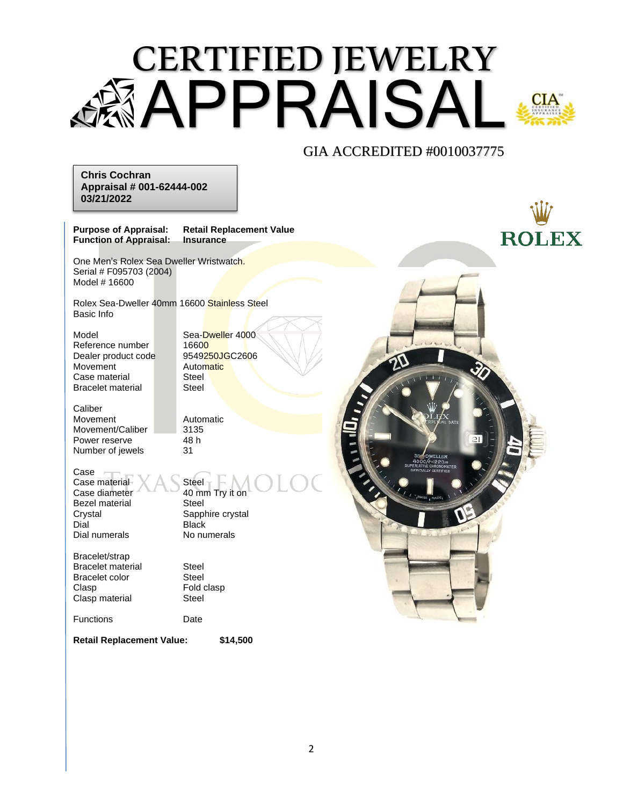## CERTIFIED JEWELRY APPRAISAL



**Chris Cochran Appraisal # 001-62444-002 03/21/2022**

**Purpose of Appraisal: Retail Replacement Value Function of Appraisal:** 

One Men's Rolex Sea Dweller Wristwatch. Serial # F095703 (2004) Model # 16600

Rolex Sea-Dweller 40mm 16600 Stainless Steel Basic Info

Model Sea-Dweller 4000 Reference number 16600<br>Dealer product code 9549250JGC2606 Dealer product code Movement Automatic Case material Steel<br>Bracelet material Steel Bracelet material

**Caliber** Movement Automatic Movement/Caliber 3135 Power reserve 48 h Number of jewels 31

Case

Case material XA Steel<br>Case diameter 40 mm Bezel material<br>Crystal Dial Black Dial numerals No numerals

40 mm Try it on<br>Steel Sapphire crystal

Bracelet/strap Bracelet material Steel Bracelet color Steel Clasp **Fold clasp** Clasp material Steel

Functions Date

**Retail Replacement Value: \$14,500**

**ROLEX**